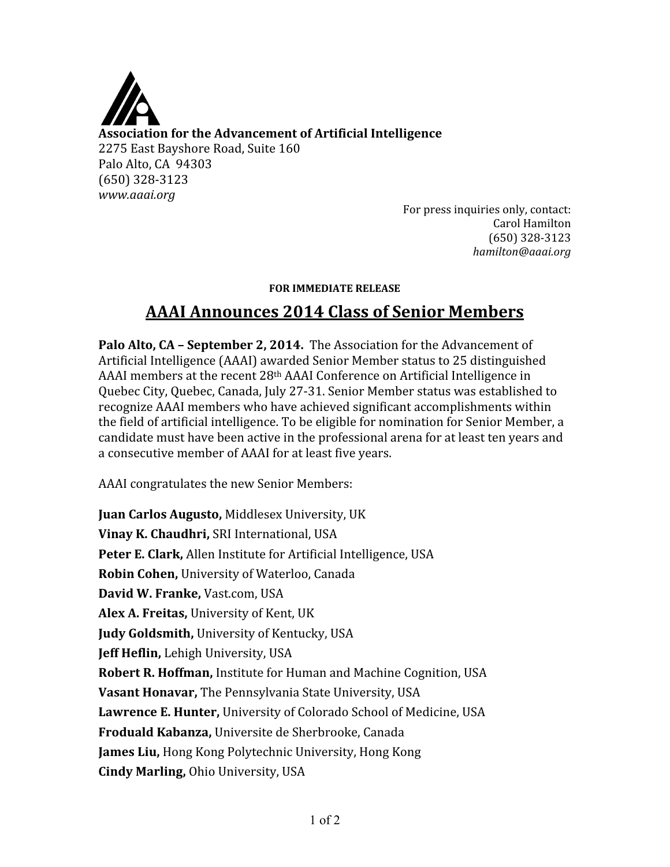

**Association for the Advancement of Artificial Intelligence** 2275 East Bayshore Road, Suite 160 Palo Alto, CA 94303 (650) 328‐3123 *www.aaai.org*

For press inquiries only, contact: Carol Hamilton (650) 328‐3123 *hamilton@aaai.org*

## **FOR IMMEDIATE RELEASE**

## **AAAI Announces 2014 Class of Senior Members**

**Palo Alto, CA – September 2, 2014.** The Association for the Advancement of Artificial Intelligence (AAAI) awarded Senior Member status to 25 distinguished AAAI members at the recent 28th AAAI Conference on Artificial Intelligence in Quebec City, Quebec, Canada, July 27‐31. Senior Member status was established to recognize AAAI members who have achieved significant accomplishments within the field of artificial intelligence. To be eligible for nomination for Senior Member, a candidate must have been active in the professional arena for at least ten years and a consecutive member of AAAI for at least five years.

AAAI congratulates the new Senior Members:

**Juan Carlos Augusto,** Middlesex University, UK **Vinay K. Chaudhri,** SRI International, USA **Peter E. Clark,** Allen Institute for Artificial Intelligence, USA **Robin Cohen,** University of Waterloo, Canada **David W. Franke,** Vast.com, USA **Alex A. Freitas,** University of Kent, UK **Judy Goldsmith,** University of Kentucky, USA **Jeff Heflin,** Lehigh University, USA **Robert R. Hoffman,** Institute for Human and Machine Cognition, USA **Vasant Honavar,** The Pennsylvania State University, USA **Lawrence E. Hunter,** University of Colorado School of Medicine, USA **Froduald Kabanza,** Universite de Sherbrooke, Canada **James Liu,** Hong Kong Polytechnic University, Hong Kong **Cindy Marling,** Ohio University, USA